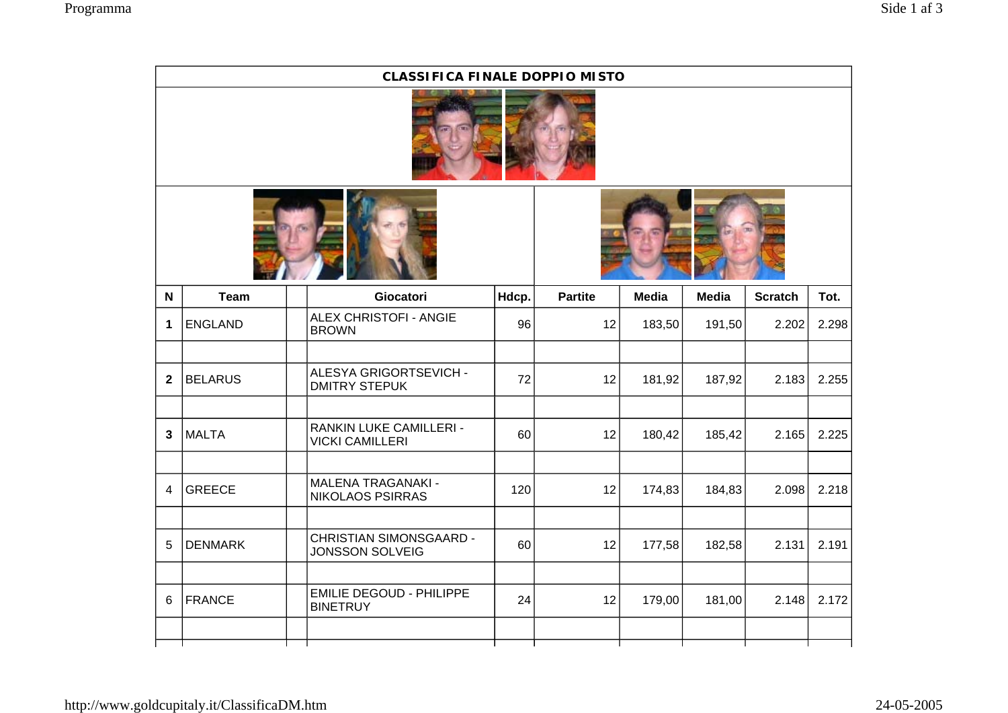|                | <b>CLASSIFICA FINALE DOPPIO MISTO</b> |                                                          |       |                |              |              |                |       |  |  |  |  |
|----------------|---------------------------------------|----------------------------------------------------------|-------|----------------|--------------|--------------|----------------|-------|--|--|--|--|
|                |                                       |                                                          |       |                |              |              |                |       |  |  |  |  |
|                |                                       |                                                          |       |                |              |              |                |       |  |  |  |  |
| N              | <b>Team</b>                           | Giocatori                                                | Hdcp. | <b>Partite</b> | <b>Media</b> | <b>Media</b> | <b>Scratch</b> | Tot.  |  |  |  |  |
| 1              | <b>ENGLAND</b>                        | ALEX CHRISTOFI - ANGIE<br><b>BROWN</b>                   | 96    | 12             | 183,50       | 191,50       | 2.202          | 2.298 |  |  |  |  |
| $\mathbf{2}$   | <b>BELARUS</b>                        | ALESYA GRIGORTSEVICH -<br><b>DMITRY STEPUK</b>           | 72    | 12             | 181,92       | 187,92       | 2.183          | 2.255 |  |  |  |  |
| $\mathbf{3}$   | <b>MALTA</b>                          | RANKIN LUKE CAMILLERI -<br><b>VICKI CAMILLERI</b>        | 60    | 12             | 180,42       | 185,42       | 2.165          | 2.225 |  |  |  |  |
| $\overline{4}$ | <b>GREECE</b>                         | <b>MALENA TRAGANAKI -</b><br>NIKOLAOS PSIRRAS            | 120   | 12             | 174,83       | 184,83       | 2.098          | 2.218 |  |  |  |  |
| 5              | <b>DENMARK</b>                        | <b>CHRISTIAN SIMONSGAARD -</b><br><b>JONSSON SOLVEIG</b> | 60    | 12             | 177,58       | 182,58       | 2.131          | 2.191 |  |  |  |  |
| 6              | <b>FRANCE</b>                         | <b>EMILIE DEGOUD - PHILIPPE</b><br><b>BINETRUY</b>       | 24    | 12             | 179,00       | 181,00       | 2.148          | 2.172 |  |  |  |  |
|                |                                       |                                                          |       |                |              |              |                |       |  |  |  |  |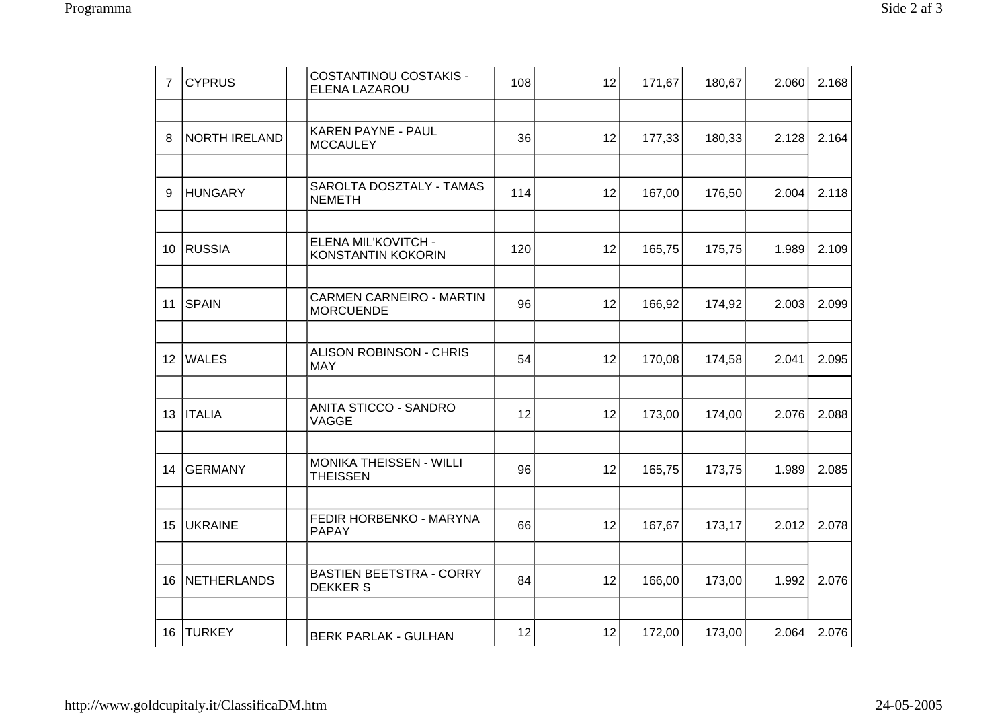| Side $2af 3$ |  |
|--------------|--|
|--------------|--|

| $\overline{7}$ | <b>CYPRUS</b>  | <b>COSTANTINOU COSTAKIS -</b><br>ELENA LAZAROU    | 108 | 12 | 171,67 | 180,67 | 2.060 | 2.168 |
|----------------|----------------|---------------------------------------------------|-----|----|--------|--------|-------|-------|
|                |                |                                                   |     |    |        |        |       |       |
| 8              | NORTH IRELAND  | KAREN PAYNE - PAUL<br><b>MCCAULEY</b>             | 36  | 12 | 177,33 | 180,33 | 2.128 | 2.164 |
|                |                |                                                   |     |    |        |        |       |       |
| 9              | <b>HUNGARY</b> | SAROLTA DOSZTALY - TAMAS<br><b>NEMETH</b>         | 114 | 12 | 167,00 | 176,50 | 2.004 | 2.118 |
|                |                |                                                   |     |    |        |        |       |       |
|                | 10 RUSSIA      | ELENA MIL'KOVITCH -<br>KONSTANTIN KOKORIN         | 120 | 12 | 165,75 | 175,75 | 1.989 | 2.109 |
|                |                |                                                   |     |    |        |        |       |       |
| 11             | SPAIN          | CARMEN CARNEIRO - MARTIN<br><b>MORCUENDE</b>      | 96  | 12 | 166,92 | 174,92 | 2.003 | 2.099 |
|                |                |                                                   |     |    |        |        |       |       |
|                | 12   WALES     | <b>ALISON ROBINSON - CHRIS</b><br><b>MAY</b>      | 54  | 12 | 170,08 | 174,58 | 2.041 | 2.095 |
|                |                |                                                   |     |    |        |        |       |       |
|                | 13   ITALIA    | ANITA STICCO - SANDRO<br>VAGGE                    | 12  | 12 | 173,00 | 174,00 | 2.076 | 2.088 |
|                |                |                                                   |     |    |        |        |       |       |
| 14             | <b>GERMANY</b> | MONIKA THEISSEN - WILLI<br><b>THEISSEN</b>        | 96  | 12 | 165,75 | 173,75 | 1.989 | 2.085 |
|                |                |                                                   |     |    |        |        |       |       |
| 15             | <b>UKRAINE</b> | FEDIR HORBENKO - MARYNA<br><b>PAPAY</b>           | 66  | 12 | 167,67 | 173,17 | 2.012 | 2.078 |
|                |                |                                                   |     |    |        |        |       |       |
| 16             | NETHERLANDS    | <b>BASTIEN BEETSTRA - CORRY</b><br><b>DEKKERS</b> | 84  | 12 | 166,00 | 173,00 | 1.992 | 2.076 |
|                |                |                                                   |     |    |        |        |       |       |
|                | 16   TURKEY    | <b>BERK PARLAK - GULHAN</b>                       | 12  | 12 | 172,00 | 173,00 | 2.064 | 2.076 |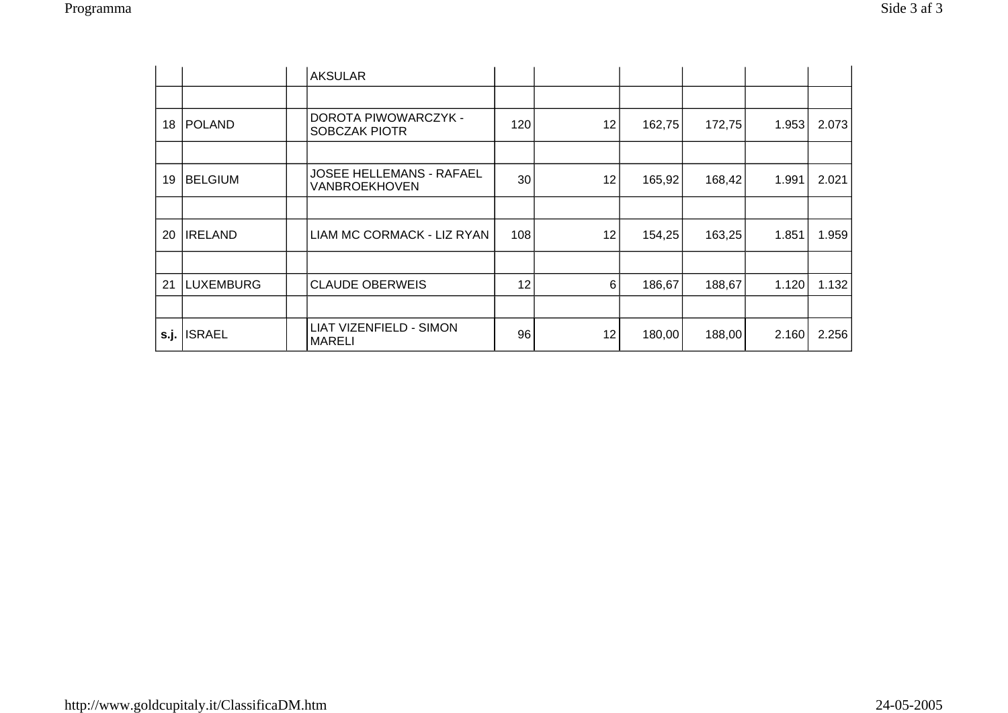|    |                | <b>AKSULAR</b>                                   |                 |    |        |        |       |       |
|----|----------------|--------------------------------------------------|-----------------|----|--------|--------|-------|-------|
|    |                |                                                  |                 |    |        |        |       |       |
| 18 | POLAND         | DOROTA PIWOWARCZYK -<br>SOBCZAK PIOTR            | 120             | 12 | 162,75 | 172,75 | 1.953 | 2.073 |
|    |                |                                                  |                 |    |        |        |       |       |
| 19 | <b>BELGIUM</b> | <b>JOSEE HELLEMANS - RAFAEL</b><br>VANBROEKHOVEN | 30              | 12 | 165,92 | 168,42 | 1.991 | 2.021 |
|    |                |                                                  |                 |    |        |        |       |       |
| 20 | <b>IRELAND</b> | LIAM MC CORMACK - LIZ RYAN                       | 108             | 12 | 154,25 | 163,25 | 1.851 | 1.959 |
|    |                |                                                  |                 |    |        |        |       |       |
| 21 | LUXEMBURG      | <b>CLAUDE OBERWEIS</b>                           | 12 <sup>2</sup> | 6  | 186,67 | 188,67 | 1.120 | 1.132 |
|    |                |                                                  |                 |    |        |        |       |       |
|    | s.j. ISRAEL    | LIAT VIZENFIELD - SIMON<br>MARELI                | 96              | 12 | 180,00 | 188,00 | 2.160 | 2.256 |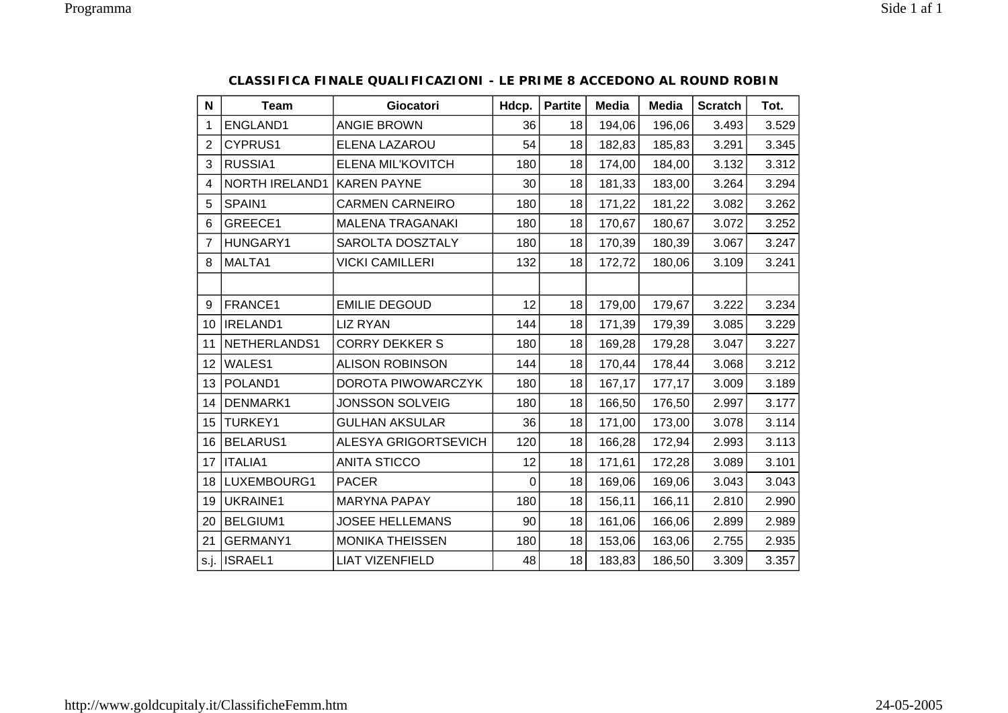| $\mathsf{N}$   | <b>Team</b>           | Giocatori                   | Hdcp. | <b>Partite</b> | <b>Media</b> | <b>Media</b> | <b>Scratch</b> | Tot.  |
|----------------|-----------------------|-----------------------------|-------|----------------|--------------|--------------|----------------|-------|
| 1              | ENGLAND1              | <b>ANGIE BROWN</b>          | 36    | 18             | 194,06       | 196,06       | 3.493          | 3.529 |
| $\overline{2}$ | CYPRUS1               | ELENA LAZAROU               | 54    | 18             | 182,83       | 185,83       | 3.291          | 3.345 |
| 3              | RUSSIA1               | ELENA MIL'KOVITCH           | 180   | 18             | 174,00       | 184,00       | 3.132          | 3.312 |
| 4              | <b>NORTH IRELAND1</b> | <b>KAREN PAYNE</b>          | 30    | 18             | 181,33       | 183,00       | 3.264          | 3.294 |
| 5              | SPAIN1                | <b>CARMEN CARNEIRO</b>      | 180   | 18             | 171,22       | 181,22       | 3.082          | 3.262 |
| 6              | GREECE1               | <b>MALENA TRAGANAKI</b>     | 180   | 18             | 170,67       | 180,67       | 3.072          | 3.252 |
| $\overline{7}$ | HUNGARY1              | SAROLTA DOSZTALY            | 180   | 18             | 170,39       | 180,39       | 3.067          | 3.247 |
| 8              | MALTA1                | <b>VICKI CAMILLERI</b>      | 132   | 18             | 172,72       | 180,06       | 3.109          | 3.241 |
|                |                       |                             |       |                |              |              |                |       |
| 9              | FRANCE1               | <b>EMILIE DEGOUD</b>        | 12    | 18             | 179,00       | 179,67       | 3.222          | 3.234 |
| 10             | IRELAND1              | <b>LIZ RYAN</b>             | 144   | 18             | 171,39       | 179,39       | 3.085          | 3.229 |
| 11             | NETHERLANDS1          | <b>CORRY DEKKER S</b>       | 180   | 18             | 169,28       | 179,28       | 3.047          | 3.227 |
| 12             | WALES1                | <b>ALISON ROBINSON</b>      | 144   | 18             | 170,44       | 178,44       | 3.068          | 3.212 |
| 13             | POLAND1               | DOROTA PIWOWARCZYK          | 180   | 18             | 167,17       | 177,17       | 3.009          | 3.189 |
| 14             | DENMARK1              | <b>JONSSON SOLVEIG</b>      | 180   | 18             | 166,50       | 176,50       | 2.997          | 3.177 |
| 15             | <b>TURKEY1</b>        | <b>GULHAN AKSULAR</b>       | 36    | 18             | 171,00       | 173,00       | 3.078          | 3.114 |
| 16             | <b>BELARUS1</b>       | <b>ALESYA GRIGORTSEVICH</b> | 120   | 18             | 166,28       | 172,94       | 2.993          | 3.113 |
| 17             | <b>ITALIA1</b>        | <b>ANITA STICCO</b>         | 12    | 18             | 171,61       | 172,28       | 3.089          | 3.101 |
| 18             | LUXEMBOURG1           | <b>PACER</b>                | 0     | 18             | 169,06       | 169,06       | 3.043          | 3.043 |
| 19             | UKRAINE1              | <b>MARYNA PAPAY</b>         | 180   | 18             | 156,11       | 166,11       | 2.810          | 2.990 |
| 20             | <b>BELGIUM1</b>       | <b>JOSEE HELLEMANS</b>      | 90    | 18             | 161,06       | 166,06       | 2.899          | 2.989 |
| 21             | GERMANY1              | <b>MONIKA THEISSEN</b>      | 180   | 18             | 153,06       | 163,06       | 2.755          | 2.935 |
| s.j.           | <b>ISRAEL1</b>        | <b>LIAT VIZENFIELD</b>      | 48    | 18             | 183,83       | 186,50       | 3.309          | 3.357 |

## **CLASSIFICA FINALE QUALIFICAZIONI - LE PRIME 8 ACCEDONO AL ROUND ROBIN**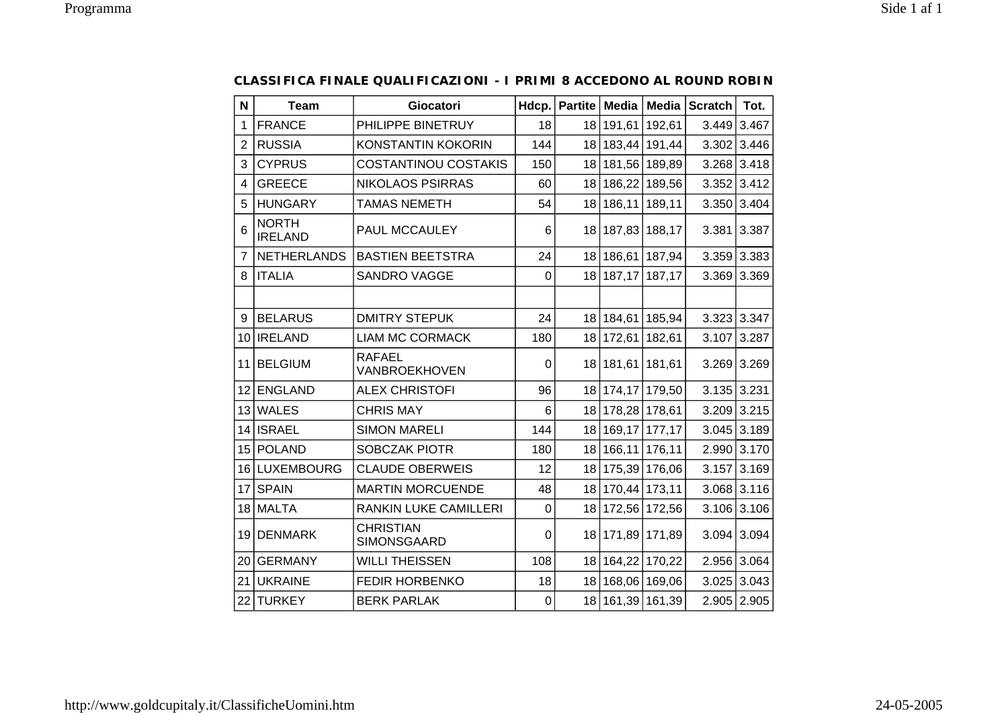| N               | <b>Team</b>                    | Giocatori                       | Hdcp.       | Partite         | Media              |               | Media Scratch | Tot.               |
|-----------------|--------------------------------|---------------------------------|-------------|-----------------|--------------------|---------------|---------------|--------------------|
| 1               | <b>FRANCE</b>                  | PHILIPPE BINETRUY               | 18          | 18 l            | 191,61             | 192,61        | 3.449         | 3.467              |
| $\overline{2}$  | <b>RUSSIA</b>                  | <b>KONSTANTIN KOKORIN</b>       | 144         | 18 <sup>1</sup> | 183,44 191,44      |               |               | $3.302 \mid 3.446$ |
| 3               | <b>CYPRUS</b>                  | <b>COSTANTINOU COSTAKIS</b>     | 150         | 18 <sup>1</sup> | 181,56 189,89      |               | 3.268         | 3.418              |
| 4               | <b>GREECE</b>                  | <b>NIKOLAOS PSIRRAS</b>         | 60          | 18 <sup>1</sup> |                    | 186,22 189,56 | 3.352         | 3.412              |
| 5               | <b>HUNGARY</b>                 | <b>TAMAS NEMETH</b>             | 54          | 18              | 186,11             | 189,11        | 3.350         | 3.404              |
| 6               | <b>NORTH</b><br><b>IRELAND</b> | PAUL MCCAULEY                   | 6           | 18              | 187,83 188,17      |               | 3.381         | 3.387              |
| 7               | <b>NETHERLANDS</b>             | <b>BASTIEN BEETSTRA</b>         | 24          | 18 <sup>1</sup> | 186,61             | 187,94        |               | $3.359 \mid 3.383$ |
| 8               | <b>ITALIA</b>                  | <b>SANDRO VAGGE</b>             | $\mathbf 0$ | 18              | 187,17 187,17      |               | 3.369         | 3.369              |
|                 |                                |                                 |             |                 |                    |               |               |                    |
| 9               | <b>BELARUS</b>                 | <b>DMITRY STEPUK</b>            | 24          |                 | 18   184,61        | 185,94        |               | 3.323 3.347        |
| 10 <sup>1</sup> | <b>IRELAND</b>                 | <b>LIAM MC CORMACK</b>          | 180         | 18 <sup>1</sup> | 172,61             | 182,61        | 3.107         | 3.287              |
| 11              | <b>BELGIUM</b>                 | RAFAEL<br>VANBROEKHOVEN         | 0           |                 | 18   181,61        | 181,61        | 3.269         | 3.269              |
| 12              | <b>ENGLAND</b>                 | <b>ALEX CHRISTOFI</b>           | 96          |                 | 18 174, 17 179, 50 |               | 3.135         | 3.231              |
| 13              | <b>WALES</b>                   | <b>CHRIS MAY</b>                | 6           |                 | 18 178,28 178,61   |               | 3.209         | 3.215              |
| 14              | <b>ISRAEL</b>                  | <b>SIMON MARELI</b>             | 144         | 18 <sup>1</sup> | 169, 17 177, 17    |               |               | $3.045$ 3.189      |
| 15 <sup>1</sup> | <b>POLAND</b>                  | SOBCZAK PIOTR                   | 180         | 18 <sup>1</sup> | 166,11 176,11      |               |               | 2.990 3.170        |
| 16 l            | <b>LUXEMBOURG</b>              | <b>CLAUDE OBERWEIS</b>          | 12          | 18              | 175,39 176,06      |               | 3.157         | 3.169              |
| 17              | <b>SPAIN</b>                   | <b>MARTIN MORCUENDE</b>         | 48          | 18              | 170,44 173,11      |               | 3.068         | 3.116              |
| 18              | <b>MALTA</b>                   | RANKIN LUKE CAMILLERI           | $\mathbf 0$ | 18              | 172,56 172,56      |               | 3.106         | 3.106              |
| 19              | <b>DENMARK</b>                 | <b>CHRISTIAN</b><br>SIMONSGAARD | $\Omega$    | 18 <sup>1</sup> | 171,89 171,89      |               | 3.094         | 3.094              |
| 20 <sub>1</sub> | <b>GERMANY</b>                 | <b>WILLI THEISSEN</b>           | 108         |                 | 18 164, 22 170, 22 |               |               | 2.956 3.064        |
| 21              | <b>UKRAINE</b>                 | <b>FEDIR HORBENKO</b>           | 18          | 18 <sup>1</sup> | 168,06 169,06      |               | 3.025         | 3.043              |
| 22              | <b>TURKEY</b>                  | <b>BERK PARLAK</b>              | 0           | 18              | 161,39 161,39      |               |               | 2.905 2.905        |

## **CLASSIFICA FINALE QUALIFICAZIONI - I PRIMI 8 ACCEDONO AL ROUND ROBIN**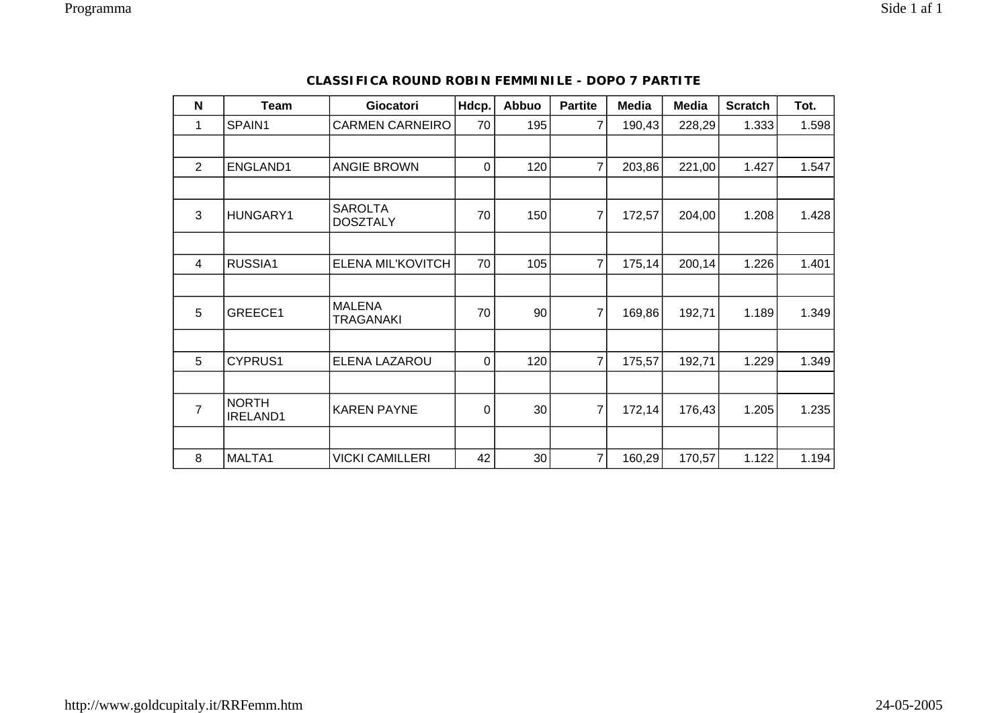| $\mathbf N$    | Team                     | Giocatori                         | Hdcp. | Abbuo | <b>Partite</b> | <b>Media</b> | <b>Media</b> | <b>Scratch</b> | Tot.  |
|----------------|--------------------------|-----------------------------------|-------|-------|----------------|--------------|--------------|----------------|-------|
| 1              | SPAIN1                   | <b>CARMEN CARNEIRO</b>            | 70    | 195   | $\overline{7}$ | 190,43       | 228,29       | 1.333          | 1.598 |
|                |                          |                                   |       |       |                |              |              |                |       |
| $\overline{2}$ | ENGLAND1                 | <b>ANGIE BROWN</b>                | 0     | 120   | $\overline{7}$ | 203,86       | 221,00       | 1.427          | 1.547 |
|                |                          |                                   |       |       |                |              |              |                |       |
| 3              | HUNGARY1                 | <b>SAROLTA</b><br><b>DOSZTALY</b> | 70    | 150   | 7              | 172,57       | 204,00       | 1.208          | 1.428 |
|                |                          |                                   |       |       |                |              |              |                |       |
| 4              | RUSSIA1                  | ELENA MIL'KOVITCH                 | 70    | 105   | $\overline{7}$ | 175,14       | 200,14       | 1.226          | 1.401 |
|                |                          |                                   |       |       |                |              |              |                |       |
| 5              | GREECE1                  | <b>MALENA</b><br><b>TRAGANAKI</b> | 70    | 90    | $\overline{7}$ | 169,86       | 192,71       | 1.189          | 1.349 |
|                |                          |                                   |       |       |                |              |              |                |       |
| 5              | CYPRUS1                  | ELENA LAZAROU                     | 0     | 120   | $\overline{7}$ | 175,57       | 192,71       | 1.229          | 1.349 |
|                |                          |                                   |       |       |                |              |              |                |       |
| $\overline{7}$ | <b>NORTH</b><br>IRELAND1 | <b>KAREN PAYNE</b>                | 0     | 30    | $\overline{7}$ | 172,14       | 176,43       | 1.205          | 1.235 |
|                |                          |                                   |       |       |                |              |              |                |       |
| 8              | MALTA1                   | <b>VICKI CAMILLERI</b>            | 42    | 30    | $\overline{7}$ | 160,29       | 170,57       | 1.122          | 1.194 |

## **CLASSIFICA ROUND ROBIN FEMMINILE - DOPO 7 PARTITE**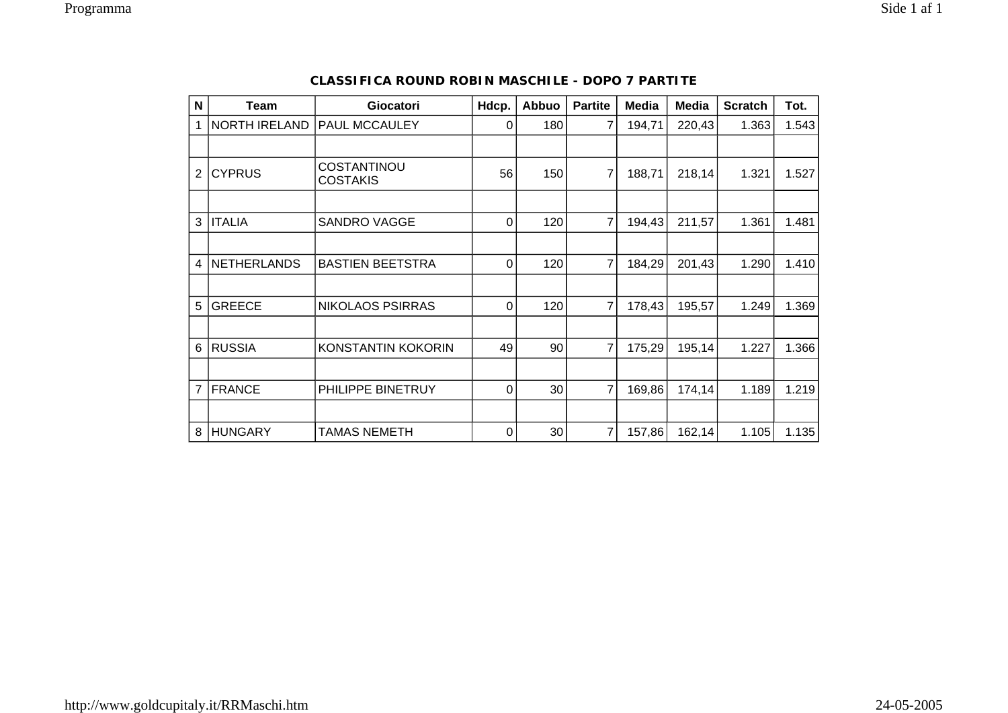| N              | Team                 | Giocatori                             | Hdcp.          | Abbuo           | <b>Partite</b> | <b>Media</b> | Media  | <b>Scratch</b> | Tot.  |
|----------------|----------------------|---------------------------------------|----------------|-----------------|----------------|--------------|--------|----------------|-------|
| 1              | <b>NORTH IRELAND</b> | PAUL MCCAULEY                         | 0              | 180             | 7              | 194,71       | 220,43 | 1.363          | 1.543 |
|                |                      |                                       |                |                 |                |              |        |                |       |
| 2              | <b>CYPRUS</b>        | <b>COSTANTINOU</b><br><b>COSTAKIS</b> | 56             | 150             | 7              | 188,71       | 218,14 | 1.321          | 1.527 |
|                |                      |                                       |                |                 |                |              |        |                |       |
| 3              | <b>ITALIA</b>        | <b>SANDRO VAGGE</b>                   | $\mathbf 0$    | 120             | 7              | 194,43       | 211,57 | 1.361          | 1.481 |
|                |                      |                                       |                |                 |                |              |        |                |       |
| 4              | <b>NETHERLANDS</b>   | <b>BASTIEN BEETSTRA</b>               | $\overline{0}$ | 120             | 7              | 184,29       | 201,43 | 1.290          | 1.410 |
|                |                      |                                       |                |                 |                |              |        |                |       |
| 5              | <b>GREECE</b>        | <b>NIKOLAOS PSIRRAS</b>               | $\mathbf 0$    | 120             | $\overline{7}$ | 178,43       | 195,57 | 1.249          | 1.369 |
|                |                      |                                       |                |                 |                |              |        |                |       |
| 6              | <b>RUSSIA</b>        | KONSTANTIN KOKORIN                    | 49             | 90              | 7              | 175,29       | 195,14 | 1.227          | 1.366 |
|                |                      |                                       |                |                 |                |              |        |                |       |
| $\overline{7}$ | <b>FRANCE</b>        | PHILIPPE BINETRUY                     | $\Omega$       | 30 <sup>°</sup> | 7              | 169,86       | 174,14 | 1.189          | 1.219 |
|                |                      |                                       |                |                 |                |              |        |                |       |
| 8              | <b>HUNGARY</b>       | <b>TAMAS NEMETH</b>                   | 0              | 30              | 7              | 157,86       | 162,14 | 1.105          | 1.135 |

## **CLASSIFICA ROUND ROBIN MASCHILE - DOPO 7 PARTITE**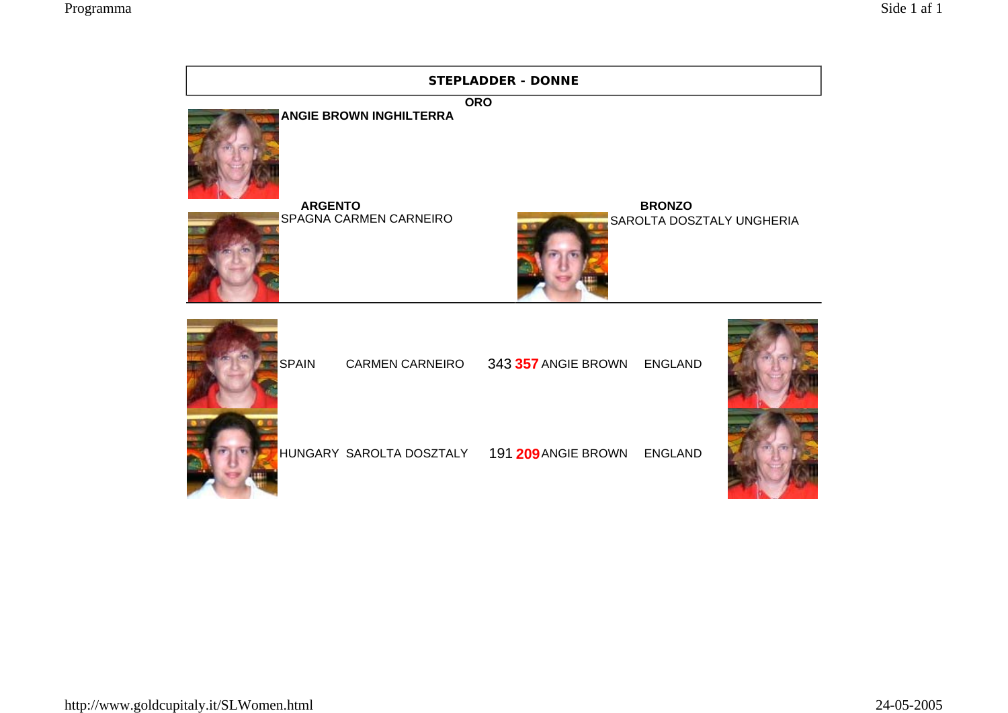|                                          | <b>STEPLADDER - DONNE</b>                            |                                            |
|------------------------------------------|------------------------------------------------------|--------------------------------------------|
| <b>ANGIE BROWN INGHILTERRA</b>           | <b>ORO</b>                                           |                                            |
| <b>ARGENTO</b><br>SPAGNA CARMEN CARNEIRO |                                                      | <b>BRONZO</b><br>SAROLTA DOSZTALY UNGHERIA |
| <b>SPAIN</b>                             | CARMEN CARNEIRO 343 357 ANGIE BROWN ENGLAND          |                                            |
|                                          | HUNGARY SAROLTA DOSZTALY 191 209 ANGIE BROWN ENGLAND |                                            |
|                                          |                                                      |                                            |